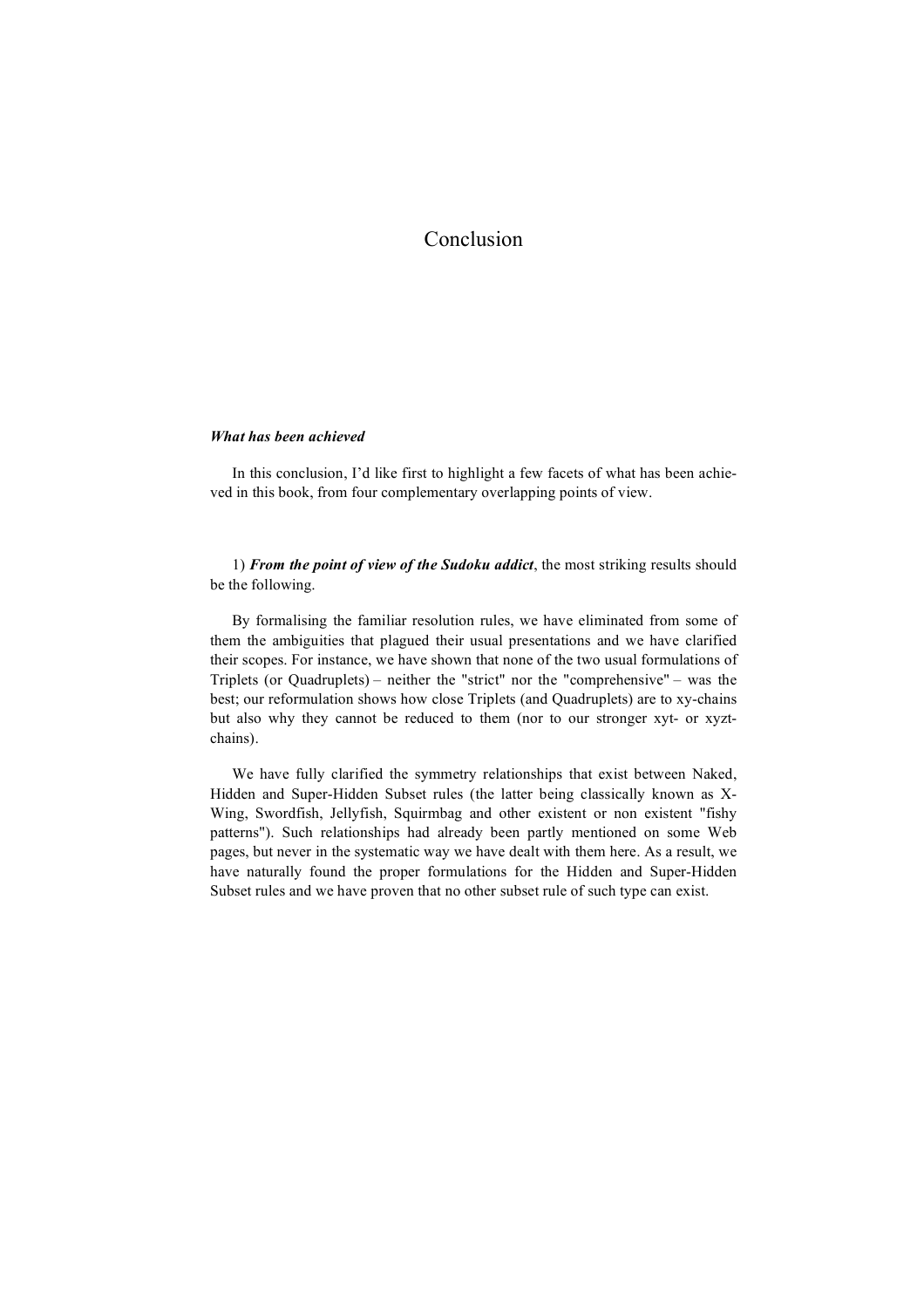# *What has been achieved*

In this conclusion, I'd like first to highlight a few facets of what has been achieved in this book, from four complementary overlapping points of view.

1) *From the point of view of the Sudoku addict*, the most striking results should be the following.

By formalising the familiar resolution rules, we have eliminated from some of them the ambiguities that plagued their usual presentations and we have clarified their scopes. For instance, we have shown that none of the two usual formulations of Triplets (or Quadruplets) – neither the "strict" nor the "comprehensive" – was the best; our reformulation shows how close Triplets (and Quadruplets) are to xy-chains but also why they cannot be reduced to them (nor to our stronger xyt- or xyztchains).

We have fully clarified the symmetry relationships that exist between Naked, Hidden and Super-Hidden Subset rules (the latter being classically known as X-Wing, Swordfish, Jellyfish, Squirmbag and other existent or non existent "fishy patterns"). Such relationships had already been partly mentioned on some Web pages, but never in the systematic way we have dealt with them here. As a result, we have naturally found the proper formulations for the Hidden and Super-Hidden Subset rules and we have proven that no other subset rule of such type can exist.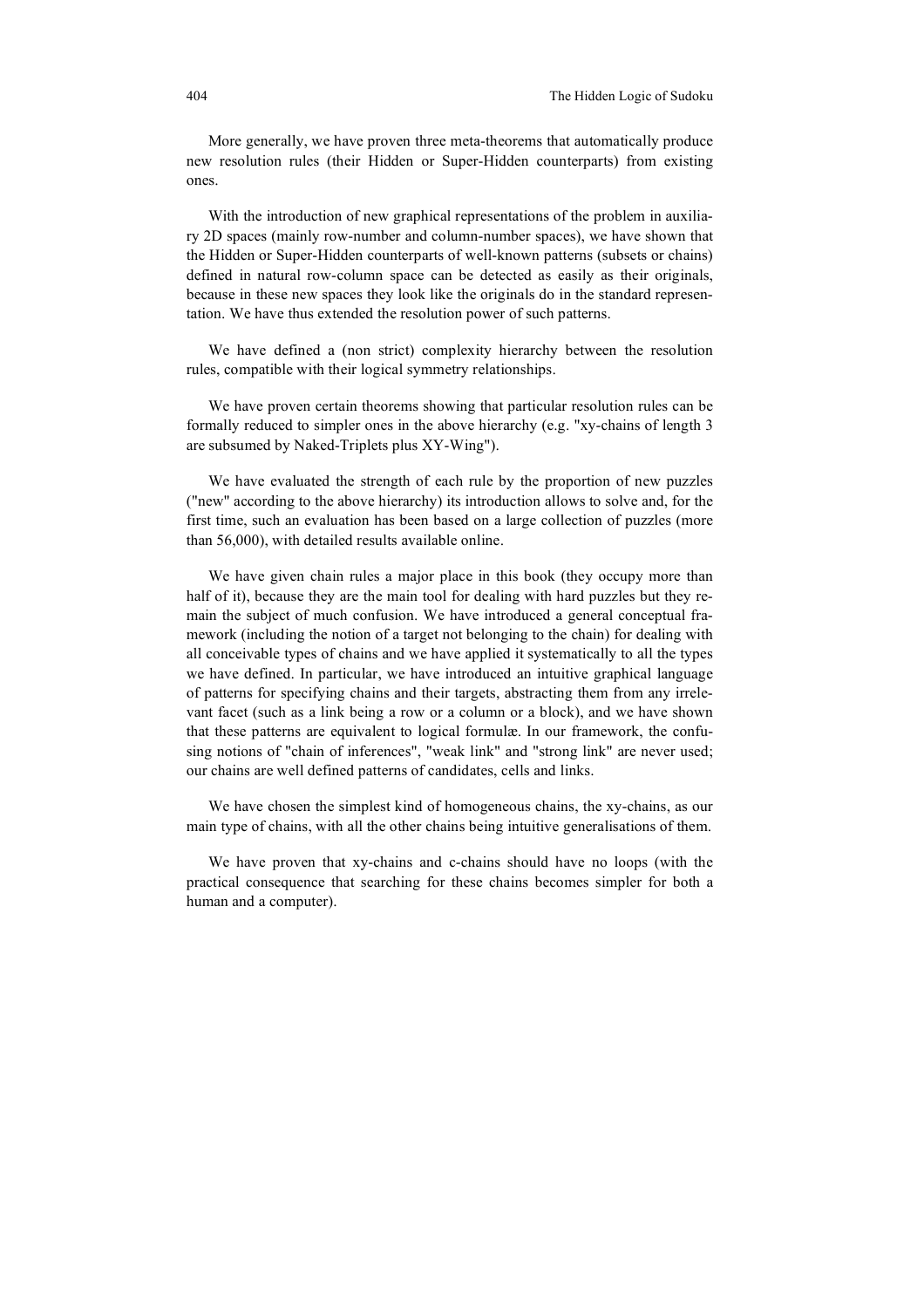More generally, we have proven three meta-theorems that automatically produce new resolution rules (their Hidden or Super-Hidden counterparts) from existing ones.

With the introduction of new graphical representations of the problem in auxiliary 2D spaces (mainly row-number and column-number spaces), we have shown that the Hidden or Super-Hidden counterparts of well-known patterns (subsets or chains) defined in natural row-column space can be detected as easily as their originals, because in these new spaces they look like the originals do in the standard representation. We have thus extended the resolution power of such patterns.

We have defined a (non strict) complexity hierarchy between the resolution rules, compatible with their logical symmetry relationships.

We have proven certain theorems showing that particular resolution rules can be formally reduced to simpler ones in the above hierarchy (e.g. "xy-chains of length 3 are subsumed by Naked-Triplets plus XY-Wing").

We have evaluated the strength of each rule by the proportion of new puzzles ("new" according to the above hierarchy) its introduction allows to solve and, for the first time, such an evaluation has been based on a large collection of puzzles (more than 56,000), with detailed results available online.

We have given chain rules a major place in this book (they occupy more than half of it), because they are the main tool for dealing with hard puzzles but they remain the subject of much confusion. We have introduced a general conceptual framework (including the notion of a target not belonging to the chain) for dealing with all conceivable types of chains and we have applied it systematically to all the types we have defined. In particular, we have introduced an intuitive graphical language of patterns for specifying chains and their targets, abstracting them from any irrelevant facet (such as a link being a row or a column or a block), and we have shown that these patterns are equivalent to logical formulæ. In our framework, the confusing notions of "chain of inferences", "weak link" and "strong link" are never used; our chains are well defined patterns of candidates, cells and links.

We have chosen the simplest kind of homogeneous chains, the xy-chains, as our main type of chains, with all the other chains being intuitive generalisations of them.

We have proven that xy-chains and c-chains should have no loops (with the practical consequence that searching for these chains becomes simpler for both a human and a computer).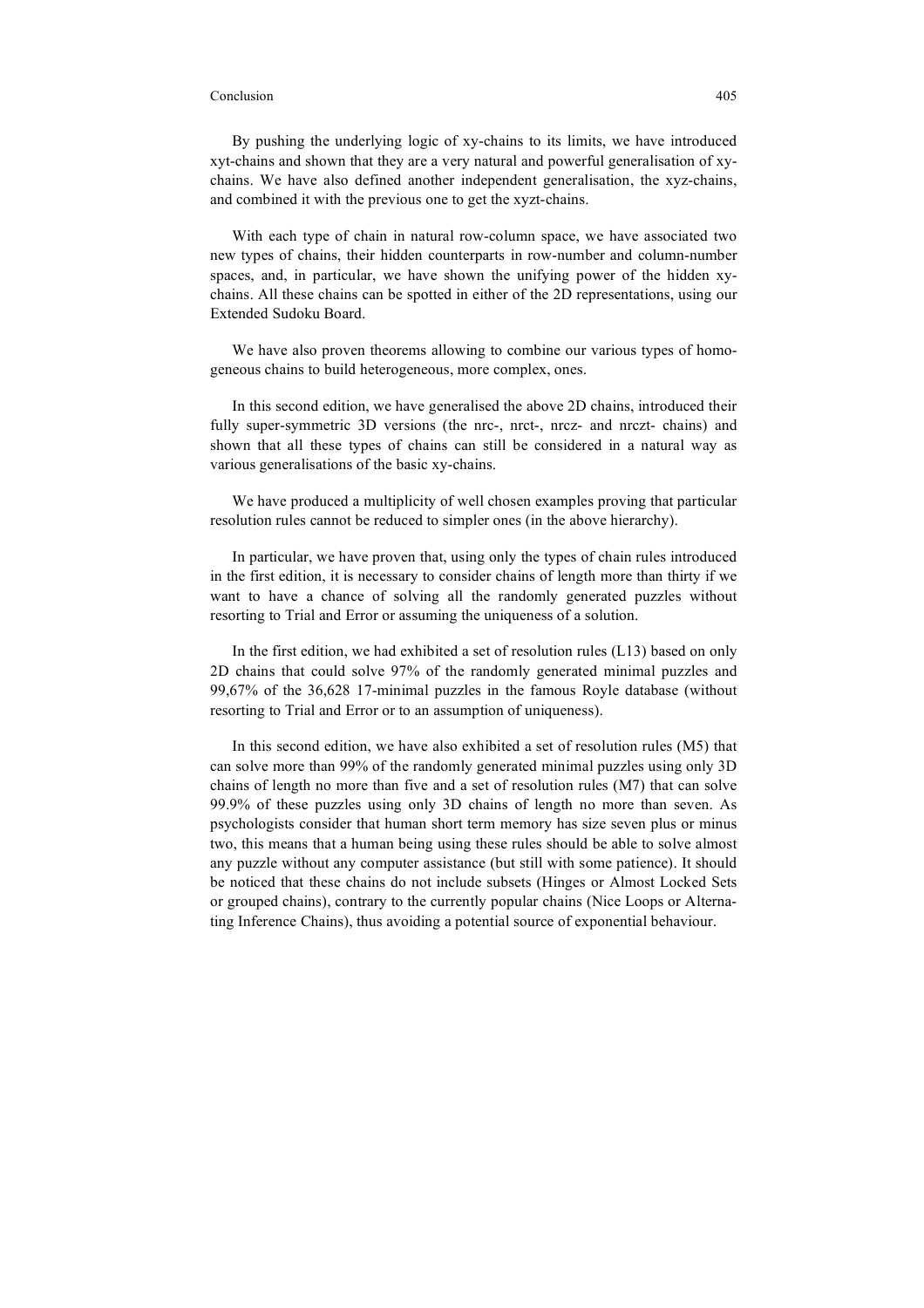By pushing the underlying logic of xy-chains to its limits, we have introduced xyt-chains and shown that they are a very natural and powerful generalisation of xychains. We have also defined another independent generalisation, the xyz-chains, and combined it with the previous one to get the xyzt-chains.

With each type of chain in natural row-column space, we have associated two new types of chains, their hidden counterparts in row-number and column-number spaces, and, in particular, we have shown the unifying power of the hidden xychains. All these chains can be spotted in either of the 2D representations, using our Extended Sudoku Board.

We have also proven theorems allowing to combine our various types of homogeneous chains to build heterogeneous, more complex, ones.

In this second edition, we have generalised the above 2D chains, introduced their fully super-symmetric 3D versions (the nrc-, nrct-, nrcz- and nrczt- chains) and shown that all these types of chains can still be considered in a natural way as various generalisations of the basic xy-chains.

We have produced a multiplicity of well chosen examples proving that particular resolution rules cannot be reduced to simpler ones (in the above hierarchy).

In particular, we have proven that, using only the types of chain rules introduced in the first edition, it is necessary to consider chains of length more than thirty if we want to have a chance of solving all the randomly generated puzzles without resorting to Trial and Error or assuming the uniqueness of a solution.

In the first edition, we had exhibited a set of resolution rules (L13) based on only 2D chains that could solve 97% of the randomly generated minimal puzzles and 99,67% of the 36,628 17-minimal puzzles in the famous Royle database (without resorting to Trial and Error or to an assumption of uniqueness).

In this second edition, we have also exhibited a set of resolution rules (M5) that can solve more than 99% of the randomly generated minimal puzzles using only 3D chains of length no more than five and a set of resolution rules (M7) that can solve 99.9% of these puzzles using only 3D chains of length no more than seven. As psychologists consider that human short term memory has size seven plus or minus two, this means that a human being using these rules should be able to solve almost any puzzle without any computer assistance (but still with some patience). It should be noticed that these chains do not include subsets (Hinges or Almost Locked Sets or grouped chains), contrary to the currently popular chains (Nice Loops or Alternating Inference Chains), thus avoiding a potential source of exponential behaviour.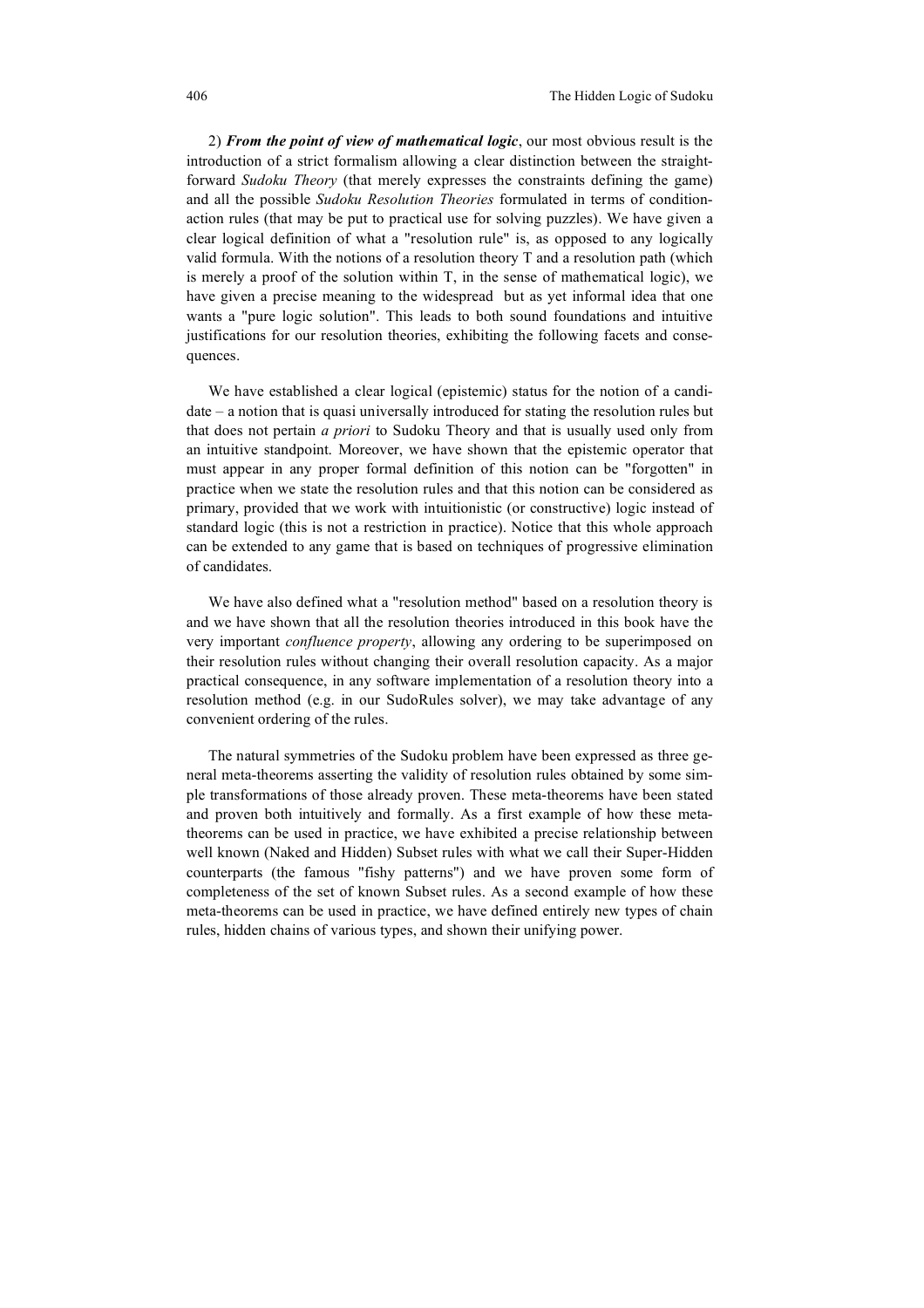2) *From the point of view of mathematical logic*, our most obvious result is the introduction of a strict formalism allowing a clear distinction between the straightforward *Sudoku Theory* (that merely expresses the constraints defining the game) and all the possible *Sudoku Resolution Theories* formulated in terms of conditionaction rules (that may be put to practical use for solving puzzles). We have given a clear logical definition of what a "resolution rule" is, as opposed to any logically valid formula. With the notions of a resolution theory T and a resolution path (which is merely a proof of the solution within T, in the sense of mathematical logic), we have given a precise meaning to the widespread but as yet informal idea that one wants a "pure logic solution". This leads to both sound foundations and intuitive justifications for our resolution theories, exhibiting the following facets and consequences.

We have established a clear logical (epistemic) status for the notion of a candidate – a notion that is quasi universally introduced for stating the resolution rules but that does not pertain *a priori* to Sudoku Theory and that is usually used only from an intuitive standpoint. Moreover, we have shown that the epistemic operator that must appear in any proper formal definition of this notion can be "forgotten" in practice when we state the resolution rules and that this notion can be considered as primary, provided that we work with intuitionistic (or constructive) logic instead of standard logic (this is not a restriction in practice). Notice that this whole approach can be extended to any game that is based on techniques of progressive elimination of candidates.

We have also defined what a "resolution method" based on a resolution theory is and we have shown that all the resolution theories introduced in this book have the very important *confluence property*, allowing any ordering to be superimposed on their resolution rules without changing their overall resolution capacity. As a major practical consequence, in any software implementation of a resolution theory into a resolution method (e.g. in our SudoRules solver), we may take advantage of any convenient ordering of the rules.

The natural symmetries of the Sudoku problem have been expressed as three general meta-theorems asserting the validity of resolution rules obtained by some simple transformations of those already proven. These meta-theorems have been stated and proven both intuitively and formally. As a first example of how these metatheorems can be used in practice, we have exhibited a precise relationship between well known (Naked and Hidden) Subset rules with what we call their Super-Hidden counterparts (the famous "fishy patterns") and we have proven some form of completeness of the set of known Subset rules. As a second example of how these meta-theorems can be used in practice, we have defined entirely new types of chain rules, hidden chains of various types, and shown their unifying power.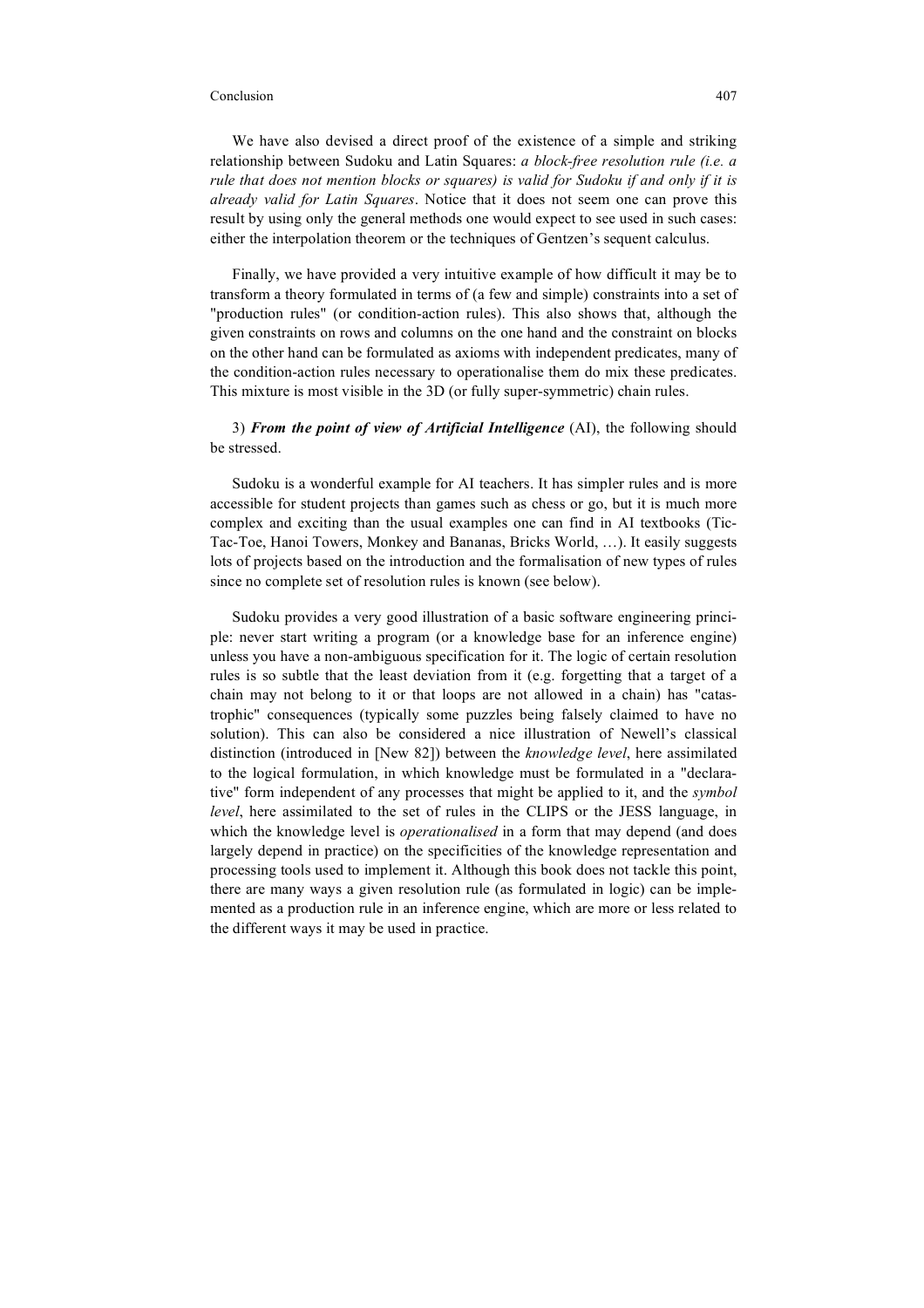We have also devised a direct proof of the existence of a simple and striking relationship between Sudoku and Latin Squares: *a block-free resolution rule (i.e. a rule that does not mention blocks or squares) is valid for Sudoku if and only if it is already valid for Latin Squares*. Notice that it does not seem one can prove this result by using only the general methods one would expect to see used in such cases: either the interpolation theorem or the techniques of Gentzen's sequent calculus.

Finally, we have provided a very intuitive example of how difficult it may be to transform a theory formulated in terms of (a few and simple) constraints into a set of "production rules" (or condition-action rules). This also shows that, although the given constraints on rows and columns on the one hand and the constraint on blocks on the other hand can be formulated as axioms with independent predicates, many of the condition-action rules necessary to operationalise them do mix these predicates. This mixture is most visible in the 3D (or fully super-symmetric) chain rules.

3) *From the point of view of Artificial Intelligence* (AI), the following should be stressed.

Sudoku is a wonderful example for AI teachers. It has simpler rules and is more accessible for student projects than games such as chess or go, but it is much more complex and exciting than the usual examples one can find in AI textbooks (Tic-Tac-Toe, Hanoi Towers, Monkey and Bananas, Bricks World, …). It easily suggests lots of projects based on the introduction and the formalisation of new types of rules since no complete set of resolution rules is known (see below).

Sudoku provides a very good illustration of a basic software engineering principle: never start writing a program (or a knowledge base for an inference engine) unless you have a non-ambiguous specification for it. The logic of certain resolution rules is so subtle that the least deviation from it (e.g. forgetting that a target of a chain may not belong to it or that loops are not allowed in a chain) has "catastrophic" consequences (typically some puzzles being falsely claimed to have no solution). This can also be considered a nice illustration of Newell's classical distinction (introduced in [New 82]) between the *knowledge level*, here assimilated to the logical formulation, in which knowledge must be formulated in a "declarative" form independent of any processes that might be applied to it, and the *symbol level*, here assimilated to the set of rules in the CLIPS or the JESS language, in which the knowledge level is *operationalised* in a form that may depend (and does largely depend in practice) on the specificities of the knowledge representation and processing tools used to implement it. Although this book does not tackle this point, there are many ways a given resolution rule (as formulated in logic) can be implemented as a production rule in an inference engine, which are more or less related to the different ways it may be used in practice.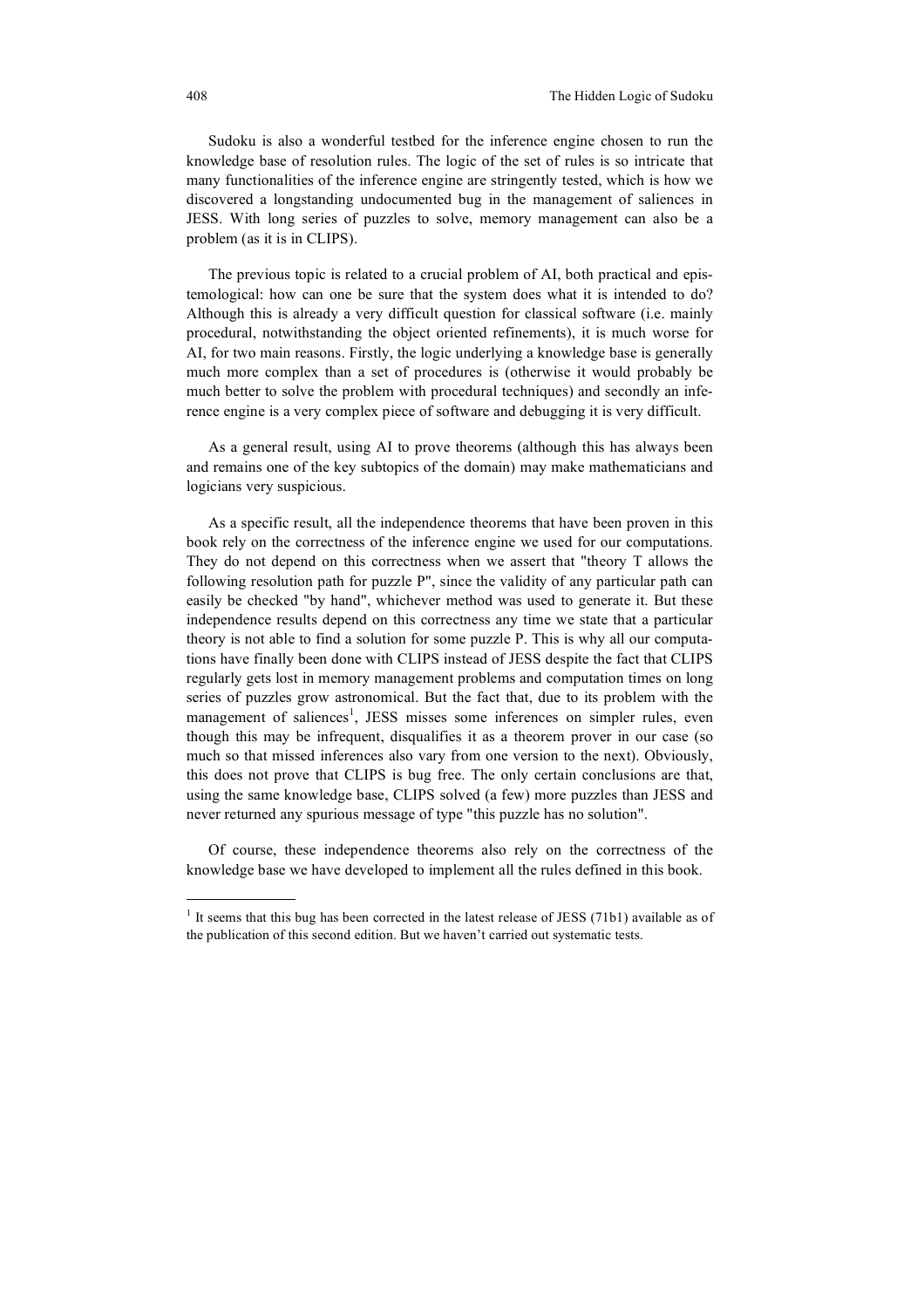Sudoku is also a wonderful testbed for the inference engine chosen to run the knowledge base of resolution rules. The logic of the set of rules is so intricate that many functionalities of the inference engine are stringently tested, which is how we discovered a longstanding undocumented bug in the management of saliences in JESS. With long series of puzzles to solve, memory management can also be a problem (as it is in CLIPS).

The previous topic is related to a crucial problem of AI, both practical and epistemological: how can one be sure that the system does what it is intended to do? Although this is already a very difficult question for classical software (i.e. mainly procedural, notwithstanding the object oriented refinements), it is much worse for AI, for two main reasons. Firstly, the logic underlying a knowledge base is generally much more complex than a set of procedures is (otherwise it would probably be much better to solve the problem with procedural techniques) and secondly an inference engine is a very complex piece of software and debugging it is very difficult.

As a general result, using AI to prove theorems (although this has always been and remains one of the key subtopics of the domain) may make mathematicians and logicians very suspicious.

As a specific result, all the independence theorems that have been proven in this book rely on the correctness of the inference engine we used for our computations. They do not depend on this correctness when we assert that "theory T allows the following resolution path for puzzle P", since the validity of any particular path can easily be checked "by hand", whichever method was used to generate it. But these independence results depend on this correctness any time we state that a particular theory is not able to find a solution for some puzzle P. This is why all our computations have finally been done with CLIPS instead of JESS despite the fact that CLIPS regularly gets lost in memory management problems and computation times on long series of puzzles grow astronomical. But the fact that, due to its problem with the management of saliences<sup>1</sup>, JESS misses some inferences on simpler rules, even though this may be infrequent, disqualifies it as a theorem prover in our case (so much so that missed inferences also vary from one version to the next). Obviously, this does not prove that CLIPS is bug free. The only certain conclusions are that, using the same knowledge base, CLIPS solved (a few) more puzzles than JESS and never returned any spurious message of type "this puzzle has no solution".

Of course, these independence theorems also rely on the correctness of the knowledge base we have developed to implement all the rules defined in this book.

 $\overline{a}$ 

<sup>&</sup>lt;sup>1</sup> It seems that this bug has been corrected in the latest release of JESS (71b1) available as of the publication of this second edition. But we haven't carried out systematic tests.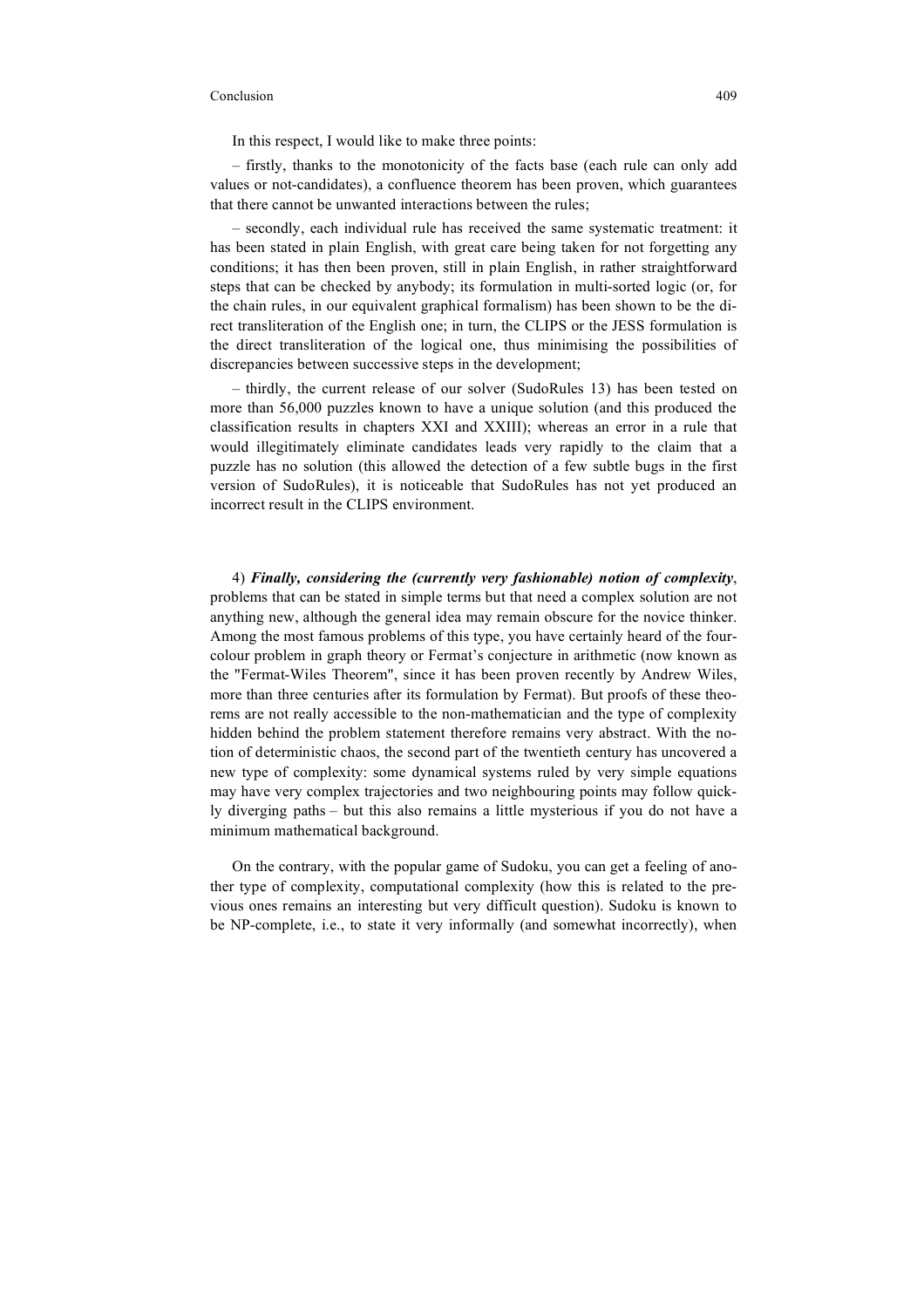In this respect, I would like to make three points:

– firstly, thanks to the monotonicity of the facts base (each rule can only add values or not-candidates), a confluence theorem has been proven, which guarantees that there cannot be unwanted interactions between the rules;

– secondly, each individual rule has received the same systematic treatment: it has been stated in plain English, with great care being taken for not forgetting any conditions; it has then been proven, still in plain English, in rather straightforward steps that can be checked by anybody; its formulation in multi-sorted logic (or, for the chain rules, in our equivalent graphical formalism) has been shown to be the direct transliteration of the English one; in turn, the CLIPS or the JESS formulation is the direct transliteration of the logical one, thus minimising the possibilities of discrepancies between successive steps in the development;

– thirdly, the current release of our solver (SudoRules 13) has been tested on more than 56,000 puzzles known to have a unique solution (and this produced the classification results in chapters XXI and XXIII); whereas an error in a rule that would illegitimately eliminate candidates leads very rapidly to the claim that a puzzle has no solution (this allowed the detection of a few subtle bugs in the first version of SudoRules), it is noticeable that SudoRules has not yet produced an incorrect result in the CLIPS environment.

4) *Finally, considering the (currently very fashionable) notion of complexity*, problems that can be stated in simple terms but that need a complex solution are not anything new, although the general idea may remain obscure for the novice thinker. Among the most famous problems of this type, you have certainly heard of the fourcolour problem in graph theory or Fermat's conjecture in arithmetic (now known as the "Fermat-Wiles Theorem", since it has been proven recently by Andrew Wiles, more than three centuries after its formulation by Fermat). But proofs of these theorems are not really accessible to the non-mathematician and the type of complexity hidden behind the problem statement therefore remains very abstract. With the notion of deterministic chaos, the second part of the twentieth century has uncovered a new type of complexity: some dynamical systems ruled by very simple equations may have very complex trajectories and two neighbouring points may follow quickly diverging paths – but this also remains a little mysterious if you do not have a minimum mathematical background.

On the contrary, with the popular game of Sudoku, you can get a feeling of another type of complexity, computational complexity (how this is related to the previous ones remains an interesting but very difficult question). Sudoku is known to be NP-complete, i.e., to state it very informally (and somewhat incorrectly), when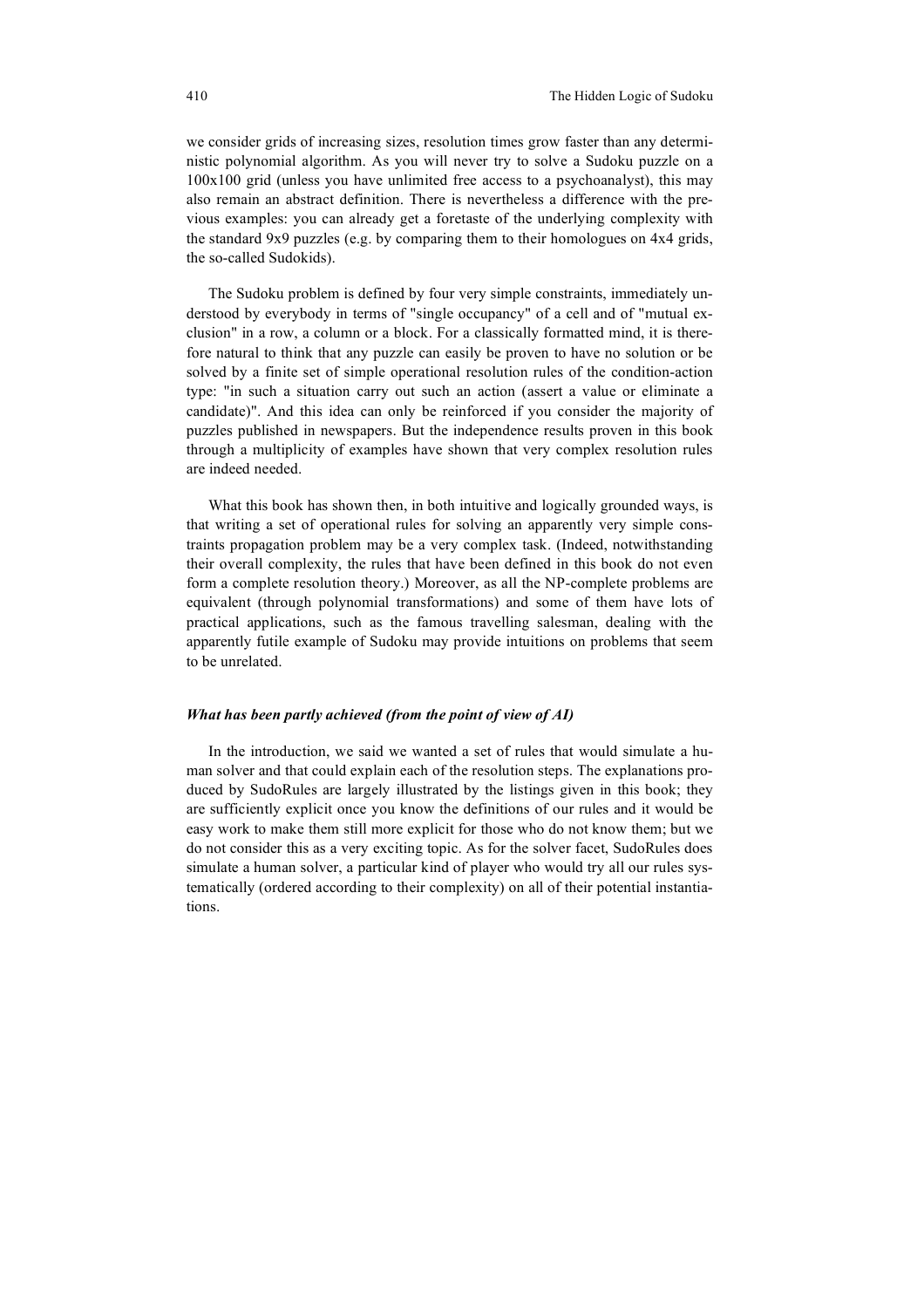we consider grids of increasing sizes, resolution times grow faster than any deterministic polynomial algorithm. As you will never try to solve a Sudoku puzzle on a 100x100 grid (unless you have unlimited free access to a psychoanalyst), this may also remain an abstract definition. There is nevertheless a difference with the previous examples: you can already get a foretaste of the underlying complexity with the standard 9x9 puzzles (e.g. by comparing them to their homologues on 4x4 grids, the so-called Sudokids).

The Sudoku problem is defined by four very simple constraints, immediately understood by everybody in terms of "single occupancy" of a cell and of "mutual exclusion" in a row, a column or a block. For a classically formatted mind, it is therefore natural to think that any puzzle can easily be proven to have no solution or be solved by a finite set of simple operational resolution rules of the condition-action type: "in such a situation carry out such an action (assert a value or eliminate a candidate)". And this idea can only be reinforced if you consider the majority of puzzles published in newspapers. But the independence results proven in this book through a multiplicity of examples have shown that very complex resolution rules are indeed needed.

What this book has shown then, in both intuitive and logically grounded ways, is that writing a set of operational rules for solving an apparently very simple constraints propagation problem may be a very complex task. (Indeed, notwithstanding their overall complexity, the rules that have been defined in this book do not even form a complete resolution theory.) Moreover, as all the NP-complete problems are equivalent (through polynomial transformations) and some of them have lots of practical applications, such as the famous travelling salesman, dealing with the apparently futile example of Sudoku may provide intuitions on problems that seem to be unrelated.

#### *What has been partly achieved (from the point of view of AI)*

In the introduction, we said we wanted a set of rules that would simulate a human solver and that could explain each of the resolution steps. The explanations produced by SudoRules are largely illustrated by the listings given in this book; they are sufficiently explicit once you know the definitions of our rules and it would be easy work to make them still more explicit for those who do not know them; but we do not consider this as a very exciting topic. As for the solver facet, SudoRules does simulate a human solver, a particular kind of player who would try all our rules systematically (ordered according to their complexity) on all of their potential instantiations.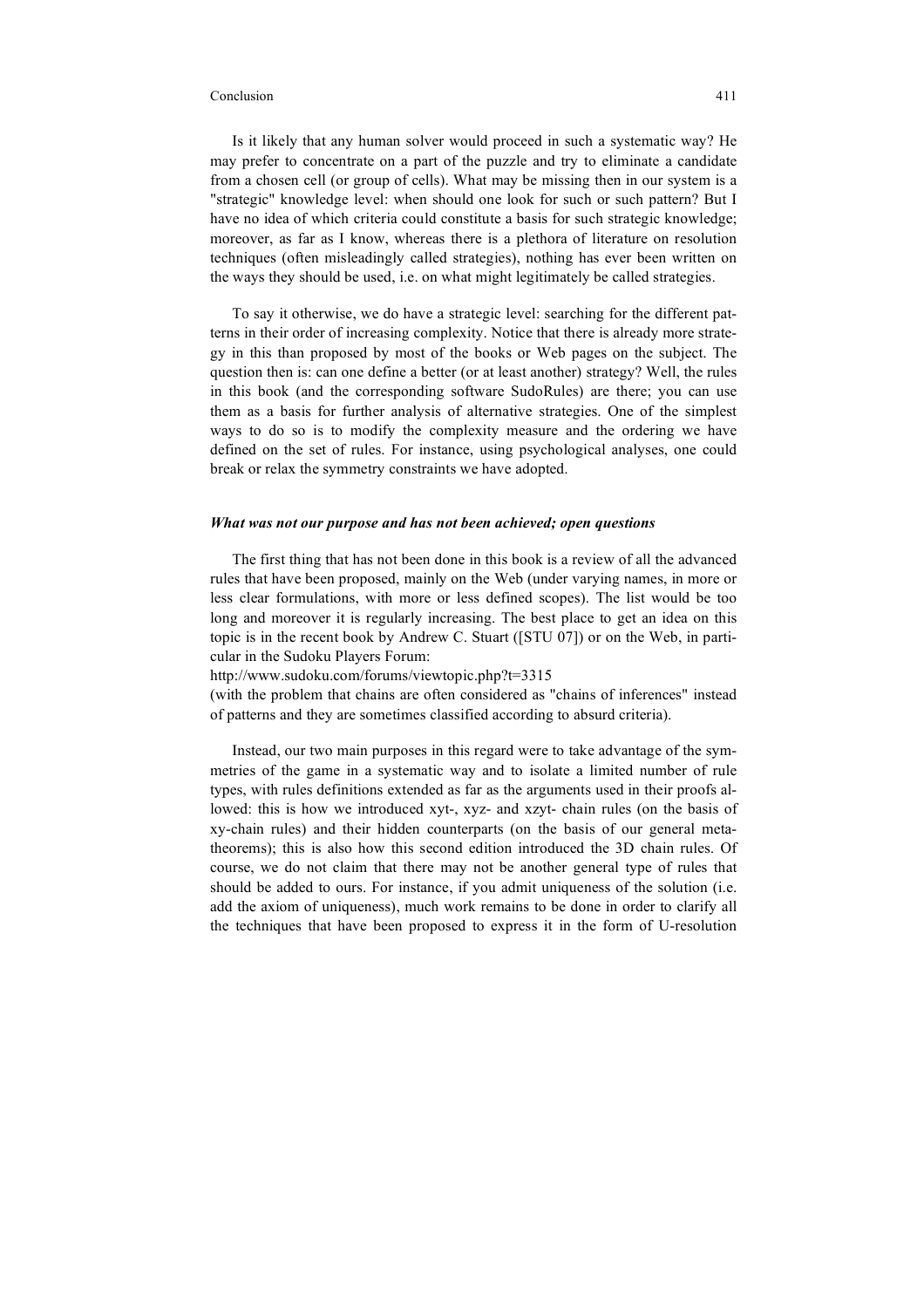Is it likely that any human solver would proceed in such a systematic way? He may prefer to concentrate on a part of the puzzle and try to eliminate a candidate from a chosen cell (or group of cells). What may be missing then in our system is a "strategic" knowledge level: when should one look for such or such pattern? But I have no idea of which criteria could constitute a basis for such strategic knowledge; moreover, as far as I know, whereas there is a plethora of literature on resolution techniques (often misleadingly called strategies), nothing has ever been written on the ways they should be used, i.e. on what might legitimately be called strategies.

To say it otherwise, we do have a strategic level: searching for the different patterns in their order of increasing complexity. Notice that there is already more strategy in this than proposed by most of the books or Web pages on the subject. The question then is: can one define a better (or at least another) strategy? Well, the rules in this book (and the corresponding software SudoRules) are there; you can use them as a basis for further analysis of alternative strategies. One of the simplest ways to do so is to modify the complexity measure and the ordering we have defined on the set of rules. For instance, using psychological analyses, one could break or relax the symmetry constraints we have adopted.

## *What was not our purpose and has not been achieved; open questions*

The first thing that has not been done in this book is a review of all the advanced rules that have been proposed, mainly on the Web (under varying names, in more or less clear formulations, with more or less defined scopes). The list would be too long and moreover it is regularly increasing. The best place to get an idea on this topic is in the recent book by Andrew C. Stuart ([STU 07]) or on the Web, in particular in the Sudoku Players Forum:

http://www.sudoku.com/forums/viewtopic.php?t=3315

(with the problem that chains are often considered as "chains of inferences" instead of patterns and they are sometimes classified according to absurd criteria).

Instead, our two main purposes in this regard were to take advantage of the symmetries of the game in a systematic way and to isolate a limited number of rule types, with rules definitions extended as far as the arguments used in their proofs allowed: this is how we introduced xyt-, xyz- and xzyt- chain rules (on the basis of xy-chain rules) and their hidden counterparts (on the basis of our general metatheorems); this is also how this second edition introduced the 3D chain rules. Of course, we do not claim that there may not be another general type of rules that should be added to ours. For instance, if you admit uniqueness of the solution (i.e. add the axiom of uniqueness), much work remains to be done in order to clarify all the techniques that have been proposed to express it in the form of U-resolution